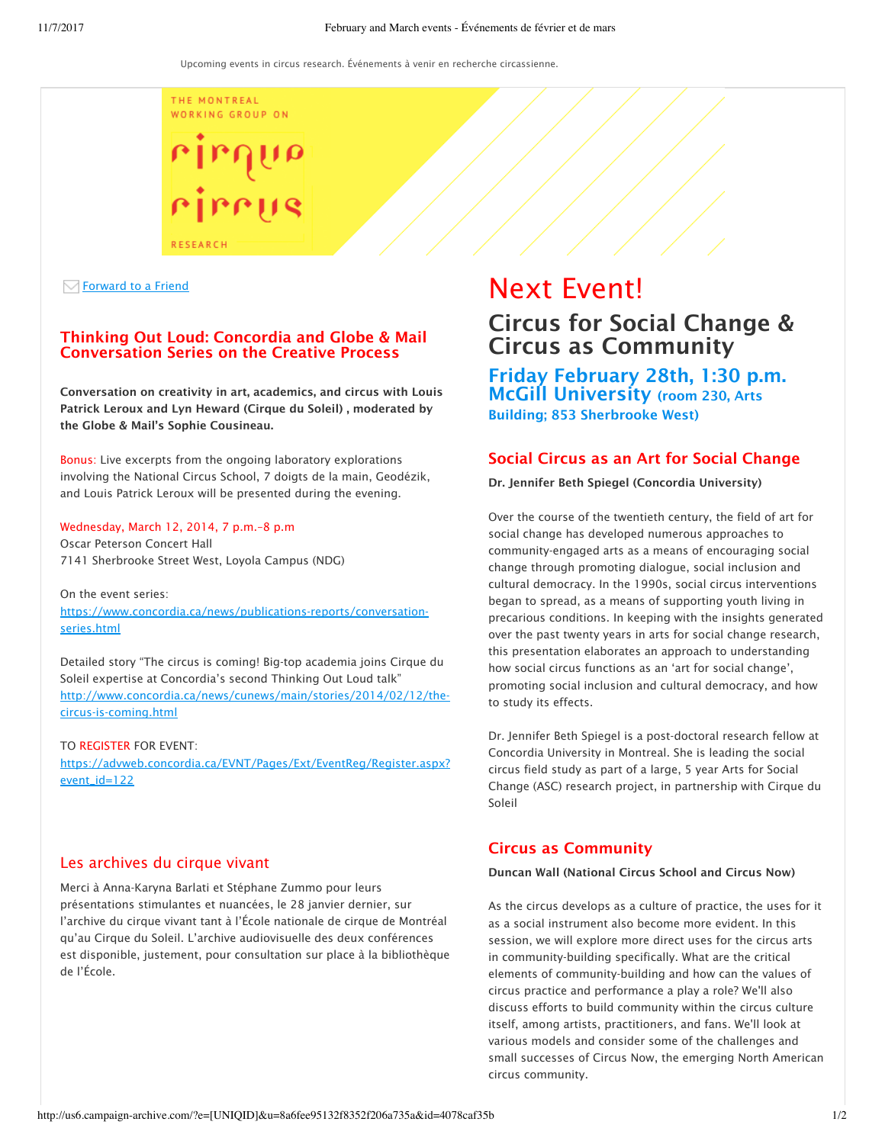THE MONTREAL WORKING GROUP ON



### $\sqrt{\ }$  Forward to a Friend

## Thinking Out Loud: Concordia and Globe & Mail Conversation Series on the Creative Process

Conversation on creativity in art, academics, and circus with Louis Patrick Leroux and Lyn Heward (Cirque du Soleil) , moderated by the Globe & Mail's Sophie Cousineau.

Bonus: Live excerpts from the ongoing laboratory explorations involving the National Circus School, 7 doigts de la main, Geodézik, and Louis Patrick Leroux will be presented during the evening.

Wednesday, March 12, 2014, 7 p.m.–8 p.m Oscar Peterson Concert Hall 7141 Sherbrooke Street West, Loyola Campus (NDG)

On the event series: https://www.concordia.ca/news/publications-reports/conversationseries.html

Detailed story "The circus is coming! Big-top academia joins Cirque du Soleil expertise at Concordia's second Thinking Out Loud talk" http://www.concordia.ca/news/cunews/main/stories/2014/02/12/thecircus-is-coming.html

TO REGISTER FOR EVENT: https://advweb.concordia.ca/EVNT/Pages/Ext/EventReg/Register.aspx? event\_id=122

## Les archives du cirque vivant

Merci à Anna-Karyna Barlati et Stéphane Zummo pour leurs présentations stimulantes et nuancées, le 28 janvier dernier, sur l'archive du cirque vivant tant à l'École nationale de cirque de Montréal qu'au Cirque du Soleil. L'archive audiovisuelle des deux conférences est disponible, justement, pour consultation sur place à la bibliothèque de l'École.

# Next Event! Circus for Social Change & Circus as Community

Friday February 28th, 1:30 p.m. McGill University (room 230, Arts Building; 853 Sherbrooke West)

## Social Circus as an Art for Social Change

Dr. Jennifer Beth Spiegel (Concordia University)

Over the course of the twentieth century, the field of art for social change has developed numerous approaches to community-engaged arts as a means of encouraging social change through promoting dialogue, social inclusion and cultural democracy. In the 1990s, social circus interventions began to spread, as a means of supporting youth living in precarious conditions. In keeping with the insights generated over the past twenty years in arts for social change research, this presentation elaborates an approach to understanding how social circus functions as an 'art for social change', promoting social inclusion and cultural democracy, and how to study its effects.

Dr. Jennifer Beth Spiegel is a post-doctoral research fellow at Concordia University in Montreal. She is leading the social circus field study as part of a large, 5 year Arts for Social Change (ASC) research project, in partnership with Cirque du Soleil

# Circus as Community

## Duncan Wall (National Circus School and Circus Now)

As the circus develops as a culture of practice, the uses for it as a social instrument also become more evident. In this session, we will explore more direct uses for the circus arts in community-building specifically. What are the critical elements of community-building and how can the values of circus practice and performance a play a role? We'll also discuss efforts to build community within the circus culture itself, among artists, practitioners, and fans. We'll look at various models and consider some of the challenges and small successes of Circus Now, the emerging North American circus community.